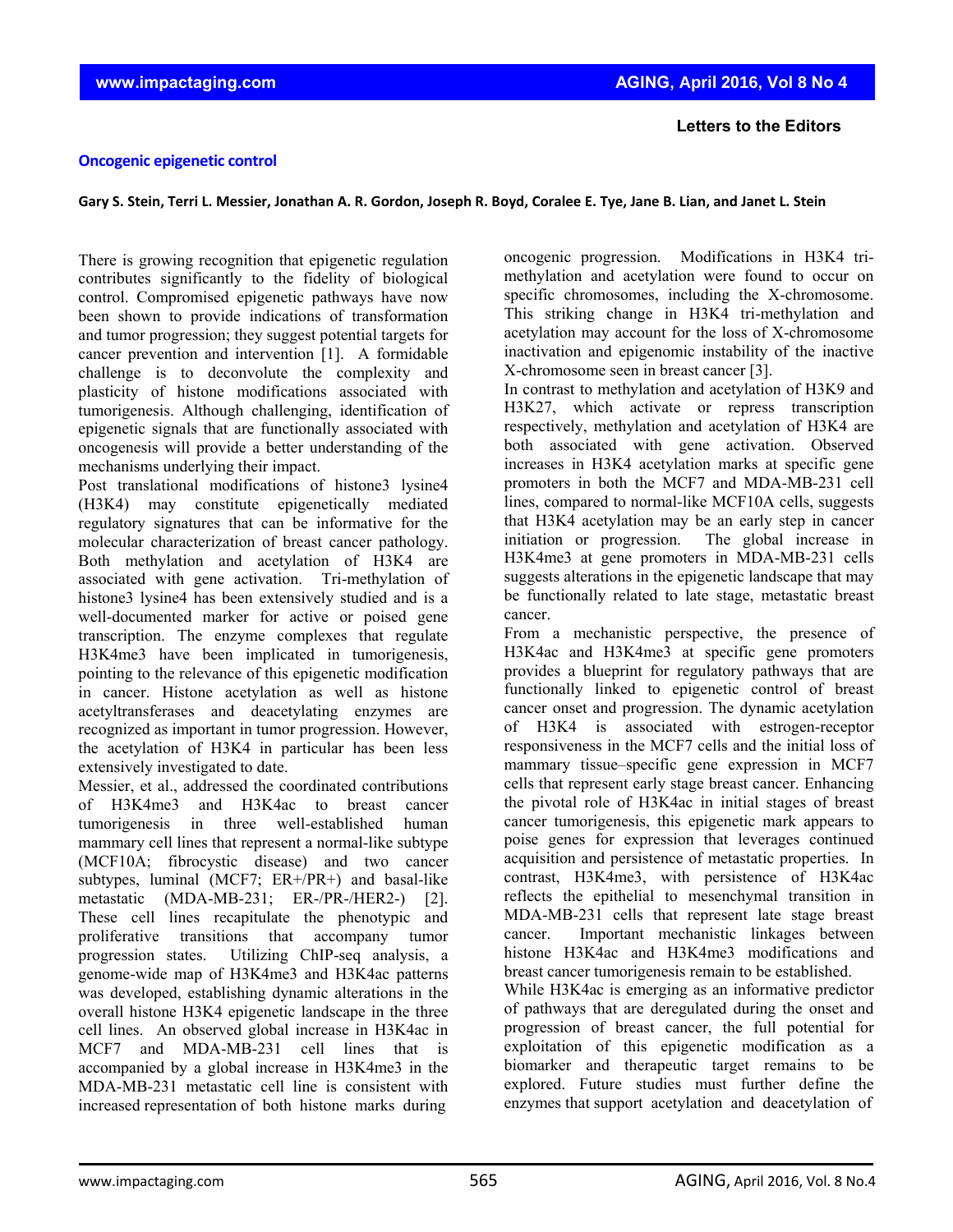## **Letters to the Editors**

## **Oncogenic epigenetic control**

Gary S. Stein, Terri L. Messier, Jonathan A. R. Gordon, Joseph R. Boyd, Coralee E. Tye, Jane B. Lian, and Janet L. Stein

There is growing recognition that epigenetic regulation contributes significantly to the fidelity of biological control. Compromised epigenetic pathways have now been shown to provide indications of transformation and tumor progression; they suggest potential targets for cancer prevention and intervention [1]. A formidable challenge is to deconvolute the complexity and plasticity of histone modifications associated with tumorigenesis. Although challenging, identification of epigenetic signals that are functionally associated with oncogenesis will provide a better understanding of the mechanisms underlying their impact.

Post translational modifications of histone3 lysine4 (H3K4) may constitute epigenetically mediated regulatory signatures that can be informative for the molecular characterization of breast cancer pathology. Both methylation and acetylation of H3K4 are associated with gene activation. Tri-methylation of histone3 lysine4 has been extensively studied and is a well-documented marker for active or poised gene transcription. The enzyme complexes that regulate H3K4me3 have been implicated in tumorigenesis, pointing to the relevance of this epigenetic modification in cancer. Histone acetylation as well as histone acetyltransferases and deacetylating enzymes are recognized as important in tumor progression. However, the acetylation of H3K4 in particular has been less extensively investigated to date.

Messier, et al., addressed the coordinated contributions of H3K4me3 and H3K4ac to breast cancer tumorigenesis in three well-established human mammary cell lines that represent a normal-like subtype (MCF10A; fibrocystic disease) and two cancer subtypes, luminal (MCF7; ER+/PR+) and basal-like metastatic (MDA-MB-231; ER-/PR-/HER2-) [2]. These cell lines recapitulate the phenotypic and proliferative transitions that accompany tumor progression states. Utilizing ChIP-seq analysis, a genome-wide map of H3K4me3 and H3K4ac patterns was developed, establishing dynamic alterations in the overall histone H3K4 epigenetic landscape in the three cell lines. An observed global increase in H3K4ac in MCF7 and MDA-MB-231 cell lines that is accompanied by a global increase in H3K4me3 in the MDA-MB-231 metastatic cell line is consistent with increased representation of both histone marks during

oncogenic progression. Modifications in H3K4 trimethylation and acetylation were found to occur on specific chromosomes, including the X-chromosome. This striking change in H3K4 tri-methylation and acetylation may account for the loss of X-chromosome inactivation and epigenomic instability of the inactive X-chromosome seen in breast cancer [3].

In contrast to methylation and acetylation of H3K9 and H3K27, which activate or repress transcription respectively, methylation and acetylation of H3K4 are both associated with gene activation. Observed increases in H3K4 acetylation marks at specific gene promoters in both the MCF7 and MDA-MB-231 cell lines, compared to normal-like MCF10A cells, suggests that H3K4 acetylation may be an early step in cancer initiation or progression. The global increase in H3K4me3 at gene promoters in MDA-MB-231 cells suggests alterations in the epigenetic landscape that may be functionally related to late stage, metastatic breast cancer.

From a mechanistic perspective, the presence of H3K4ac and H3K4me3 at specific gene promoters provides a blueprint for regulatory pathways that are functionally linked to epigenetic control of breast cancer onset and progression. The dynamic acetylation of H3K4 is associated with estrogen-receptor responsiveness in the MCF7 cells and the initial loss of mammary tissue–specific gene expression in MCF7 cells that represent early stage breast cancer. Enhancing the pivotal role of H3K4ac in initial stages of breast cancer tumorigenesis, this epigenetic mark appears to poise genes for expression that leverages continued acquisition and persistence of metastatic properties. In contrast, H3K4me3, with persistence of H3K4ac reflects the epithelial to mesenchymal transition in MDA-MB-231 cells that represent late stage breast cancer. Important mechanistic linkages between histone H3K4ac and H3K4me3 modifications and breast cancer tumorigenesis remain to be established.

While H3K4ac is emerging as an informative predictor of pathways that are deregulated during the onset and progression of breast cancer, the full potential for exploitation of this epigenetic modification as a biomarker and therapeutic target remains to be explored. Future studies must further define the enzymes that support acetylation and deacetylation of